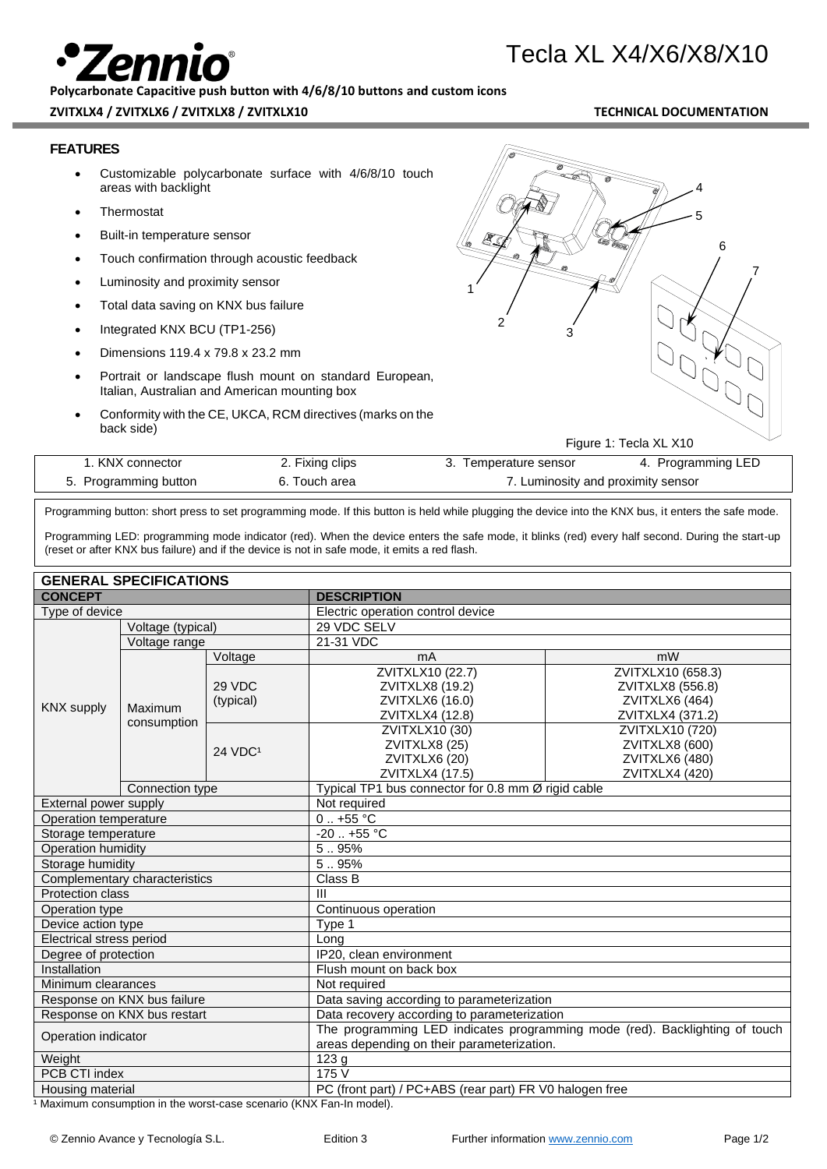**Polycarbonate Capacitive push button with 4/6/8/10 buttons and custom icons**

# **ZVITXLX4 / ZVITXLX6 / ZVITXLX8 / ZVITXLX10 TECHNICAL DOCUMENTATION**

Tecla XL X4/X6/X8/X10

# **FEATURES**

- Customizable polycarbonate surface with 4/6/8/10 touch areas with backlight
- **Thermostat**
- Built-in temperature sensor
- Touch confirmation through acoustic feedback
- Luminosity and proximity sensor
- Total data saving on KNX bus failure
- Integrated KNX BCU (TP1-256)
- Dimensions 119.4 x 79.8 x 23.2 mm
- Portrait or landscape flush mount on standard European, Italian, Australian and American mounting box
- Conformity with the CE, UKCA, RCM directives (marks on the back side)



Figure 1: Tecla XL X10

| . KNX connector       | 2. Fixing clips | 3. I emperature sensor             | 4. Programming LED |
|-----------------------|-----------------|------------------------------------|--------------------|
| 5. Programming button | 6. Touch area   | 7. Luminosity and proximity sensor |                    |

Programming button: short press to set programming mode. If this button is held while plugging the device into the KNX bus, it enters the safe mode.

Programming LED: programming mode indicator (red). When the device enters the safe mode, it blinks (red) every half second. During the start-up (reset or after KNX bus failure) and if the device is not in safe mode, it emits a red flash.

# **GENERAL SPECIFICATIONS**

| יוטו חסויוטם וט בתוובוט<br><b>CONCEPT</b> |                        |                     | <b>DESCRIPTION</b>                                                                                                        |                                                                              |  |
|-------------------------------------------|------------------------|---------------------|---------------------------------------------------------------------------------------------------------------------------|------------------------------------------------------------------------------|--|
| Type of device                            |                        |                     | Electric operation control device                                                                                         |                                                                              |  |
|                                           | Voltage (typical)      |                     | 29 VDC SELV                                                                                                               |                                                                              |  |
| <b>KNX</b> supply                         | Voltage range          |                     | 21-31 VDC                                                                                                                 |                                                                              |  |
|                                           |                        | Voltage             | mA                                                                                                                        | mW                                                                           |  |
|                                           | Maximum<br>consumption | 29 VDC<br>(typical) | ZVITXLX10 (22.7)<br>ZVITXLX8 (19.2)<br>ZVITXLX6 (16.0)<br>ZVITXLX4 (12.8)                                                 | ZVITXLX10 (658.3)<br>ZVITXLX8 (556.8)<br>ZVITXLX6 (464)<br>ZVITXLX4 (371.2)  |  |
|                                           |                        | 24 VDC <sup>1</sup> | ZVITXLX10 (30)<br>ZVITXLX8 (25)<br>ZVITXLX6 (20)<br>ZVITXLX4 (17.5)                                                       | ZVITXLX10 (720)<br>ZVITXLX8 (600)<br><b>ZVITXLX6 (480)</b><br>ZVITXLX4 (420) |  |
| Connection type                           |                        |                     | Typical TP1 bus connector for 0.8 mm Ø rigid cable                                                                        |                                                                              |  |
| External power supply                     |                        |                     | Not required                                                                                                              |                                                                              |  |
| Operation temperature                     |                        |                     | $0.1 + 55$ °C                                                                                                             |                                                                              |  |
| Storage temperature                       |                        |                     | $-20$ $+55$ °C                                                                                                            |                                                                              |  |
| Operation humidity                        |                        |                     | 5.95%                                                                                                                     |                                                                              |  |
| Storage humidity                          |                        |                     | 5.95%                                                                                                                     |                                                                              |  |
| Complementary characteristics             |                        |                     | Class B                                                                                                                   |                                                                              |  |
| Protection class                          |                        |                     | III                                                                                                                       |                                                                              |  |
| Operation type                            |                        |                     | Continuous operation                                                                                                      |                                                                              |  |
| Device action type                        |                        |                     | Type 1                                                                                                                    |                                                                              |  |
| Electrical stress period                  |                        |                     | Long                                                                                                                      |                                                                              |  |
| Degree of protection                      |                        |                     | IP20, clean environment                                                                                                   |                                                                              |  |
| Installation                              |                        |                     | Flush mount on back box                                                                                                   |                                                                              |  |
| Minimum clearances                        |                        |                     | Not required                                                                                                              |                                                                              |  |
| Response on KNX bus failure               |                        |                     | Data saving according to parameterization                                                                                 |                                                                              |  |
| Response on KNX bus restart               |                        |                     | Data recovery according to parameterization                                                                               |                                                                              |  |
| Operation indicator                       |                        |                     | The programming LED indicates programming mode (red). Backlighting of touch<br>areas depending on their parameterization. |                                                                              |  |
| Weight                                    |                        |                     | 123 <sub>g</sub>                                                                                                          |                                                                              |  |
| PCB CTI index                             |                        |                     | 175 V                                                                                                                     |                                                                              |  |
| Housing material                          |                        |                     | PC (front part) / PC+ABS (rear part) FR V0 halogen free                                                                   |                                                                              |  |

1 Maximum consumption in the worst-case scenario (KNX Fan-In model).